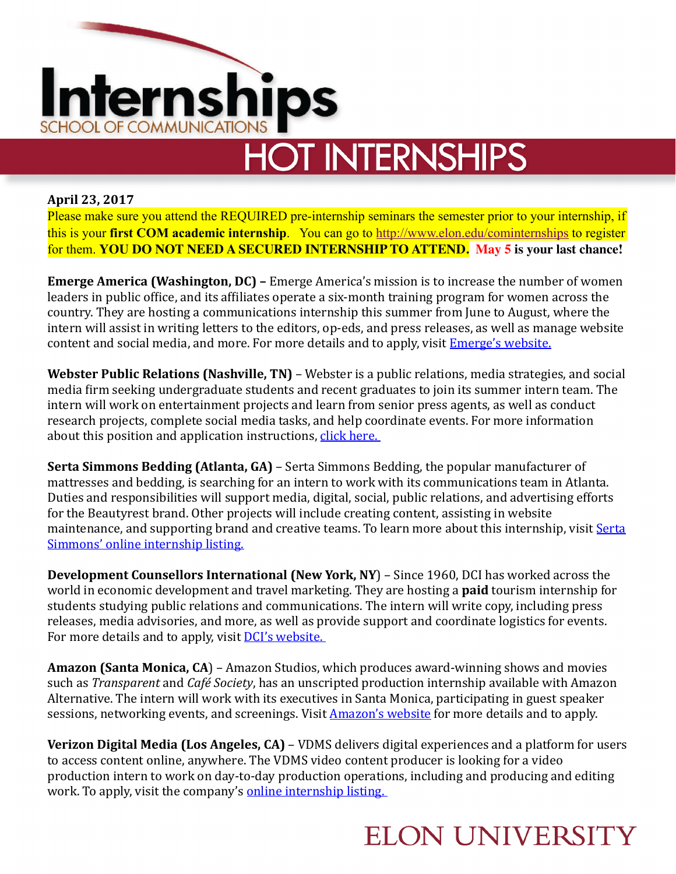

# **HOT INTERNSHIPS**

#### **April 23, 2017**

Please make sure you attend the REQUIRED pre-internship seminars the semester prior to your internship, if this is your **first COM academic internship**. You can go to [http://www.elon.edu/cominternships](http://www.elon.edu/e-web/academics/communications/internships/) to register for them. **YOU DO NOT NEED A SECURED INTERNSHIP TO ATTEND. May 5 is your last chance!**

**Emerge America (Washington, DC)** – Emerge America's mission is to increase the number of women leaders in public office, and its affiliates operate a six-month training program for women across the country. They are hosting a communications internship this summer from June to August, where the intern will assist in writing letters to the editors, op-eds, and press releases, as well as manage website content and social media, and more. For more details and to apply, visit **Emerge's website.** 

**Webster Public Relations (Nashville, TN)** – Webster is a public relations, media strategies, and social media firm seeking undergraduate students and recent graduates to join its summer intern team. The intern will work on entertainment projects and learn from senior press agents, as well as conduct research projects, complete social media tasks, and help coordinate events. For more information about this position and application instructions, click here.

**Serta Simmons Bedding (Atlanta, GA)** – Serta Simmons Bedding, the popular manufacturer of mattresses and bedding, is searching for an intern to work with its communications team in Atlanta. Duties and responsibilities will support media, digital, social, public relations, and advertising efforts for the Beautyrest brand. Other projects will include creating content, assisting in website maintenance, and supporting brand and creative teams. To learn more about this internship, visit Serta Simmons' online internship listing.

**Development Counsellors International (New York, NY)** – Since 1960, DCI has worked across the world in economic development and travel marketing. They are hosting a **paid** tourism internship for students studying public relations and communications. The intern will write copy, including press releases, media advisories, and more, as well as provide support and coordinate logistics for events. For more details and to apply, visit **DCI's website.** 

**Amazon (Santa Monica, CA**) – Amazon Studios, which produces award-winning shows and movies such as *Transparent* and *Café Society*, has an unscripted production internship available with Amazon Alternative. The intern will work with its executives in Santa Monica, participating in guest speaker sessions, networking events, and screenings. Visit **Amazon's website** for more details and to apply.

**Verizon Digital Media (Los Angeles, CA)** – VDMS delivers digital experiences and a platform for users to access content online, anywhere. The VDMS video content producer is looking for a video production intern to work on day-to-day production operations, including and producing and editing work. To apply, visit the company's online internship listing.

#### **ELON UNIVERSITY**